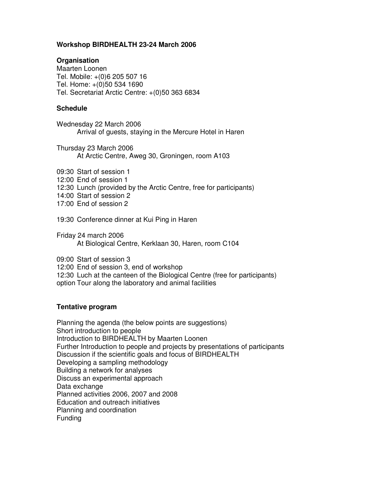### **Workshop BIRDHEALTH 23-24 March 2006**

## **Organisation**

Maarten Loonen Tel. Mobile: +(0)6 205 507 16 Tel. Home: +(0)50 534 1690 Tel. Secretariat Arctic Centre: +(0)50 363 6834

## **Schedule**

Wednesday 22 March 2006 Arrival of guests, staying in the Mercure Hotel in Haren

Thursday 23 March 2006 At Arctic Centre, Aweg 30, Groningen, room A103

- 09:30 Start of session 1
- 12:00 End of session 1
- 12:30 Lunch (provided by the Arctic Centre, free for participants)
- 14:00 Start of session 2
- 17:00 End of session 2

19:30 Conference dinner at Kui Ping in Haren

Friday 24 march 2006 At Biological Centre, Kerklaan 30, Haren, room C104

09:00 Start of session 3

12:00 End of session 3, end of workshop

- 12:30 Luch at the canteen of the Biological Centre (free for participants)
- option Tour along the laboratory and animal facilities

#### **Tentative program**

Planning the agenda (the below points are suggestions) Short introduction to people Introduction to BIRDHEALTH by Maarten Loonen Further Introduction to people and projects by presentations of participants Discussion if the scientific goals and focus of BIRDHEALTH Developing a sampling methodology Building a network for analyses Discuss an experimental approach Data exchange Planned activities 2006, 2007 and 2008 Education and outreach initiatives Planning and coordination Funding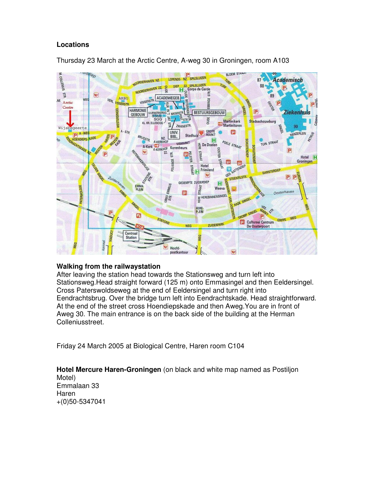## **Locations**



Thursday 23 March at the Arctic Centre, A-weg 30 in Groningen, room A103

# **Walking from the railwaystation**

After leaving the station head towards the Stationsweg and turn left into Stationsweg.Head straight forward (125 m) onto Emmasingel and then Eeldersingel. Cross Paterswoldseweg at the end of Eeldersingel and turn right into Eendrachtsbrug. Over the bridge turn left into Eendrachtskade. Head straightforward. At the end of the street cross Hoendiepskade and then Aweg.You are in front of Aweg 30. The main entrance is on the back side of the building at the Herman Colleniusstreet.

Friday 24 March 2005 at Biological Centre, Haren room C104

**Hotel Mercure Haren-Groningen** (on black and white map named as Postiljon Motel) Emmalaan 33 Haren +(0)50-5347041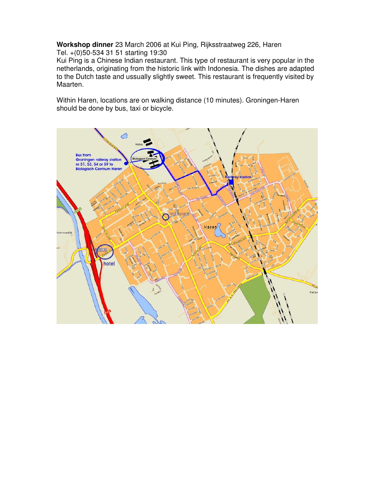**Workshop dinner** 23 March 2006 at Kui Ping, Rijksstraatweg 226, Haren Tel. +(0)50-534 31 51 starting 19:30

Kui Ping is a Chinese Indian restaurant. This type of restaurant is very popular in the netherlands, originating from the historic link with Indonesia. The dishes are adapted to the Dutch taste and ussually slightly sweet. This restaurant is frequently visited by Maarten.

Within Haren, locations are on walking distance (10 minutes). Groningen-Haren should be done by bus, taxi or bicycle.

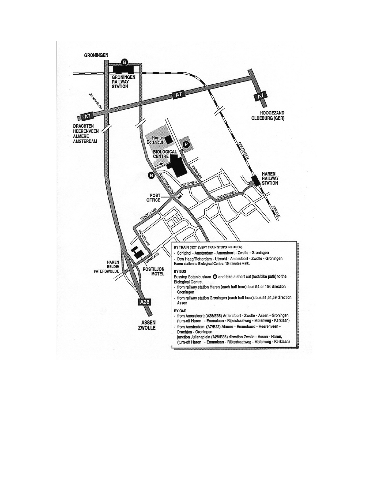